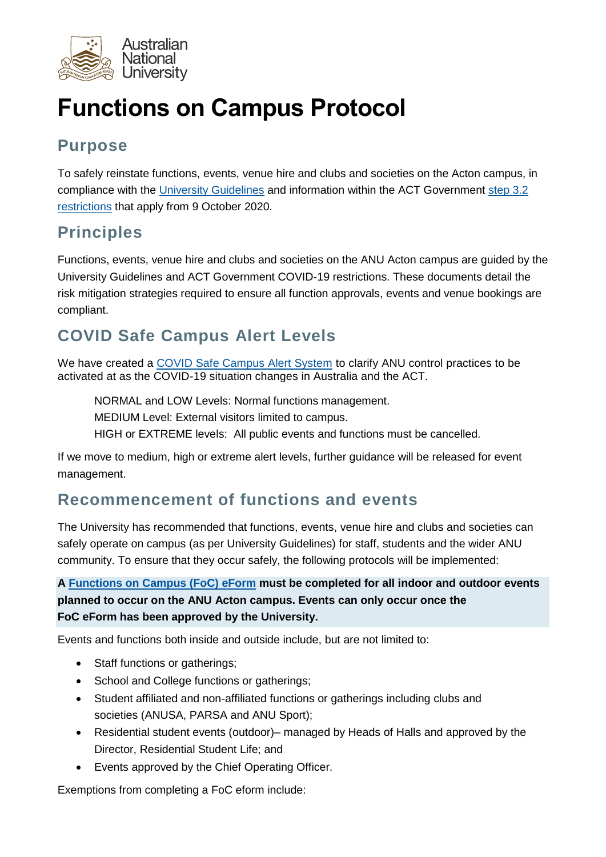

# **Functions on Campus Protocol**

# **Purpose**

To safely reinstate functions, events, venue hire and clubs and societies on the Acton campus, in compliance with the [University Guidelines](https://www.anu.edu.au/files/document-collection/University%20Guidelines%20v1.2%20Release.pdf) and information within the ACT Government [step 3.2](https://www.covid19.act.gov.au/__data/assets/pdf_file/0006/1629330/PICC0050-COVID-Recovery-Plan.pdf)  [restrictions](https://www.covid19.act.gov.au/__data/assets/pdf_file/0006/1629330/PICC0050-COVID-Recovery-Plan.pdf) that apply from 9 October 2020.

# **Principles**

Functions, events, venue hire and clubs and societies on the ANU Acton campus are guided by the University Guidelines and ACT Government COVID-19 restrictions. These documents detail the risk mitigation strategies required to ensure all function approvals, events and venue bookings are compliant.

# **COVID Safe Campus Alert Levels**

We have created a [COVID Safe Campus Alert System](https://www.anu.edu.au/covid-19-advice/campus-community/covid-safe-campus/alert-system) to clarify ANU control practices to be activated at as the COVID-19 situation changes in Australia and the ACT.

NORMAL and LOW Levels: Normal functions management.

MEDIUM Level: External visitors limited to campus.

HIGH or EXTREME levels: All public events and functions must be cancelled.

If we move to medium, high or extreme alert levels, further guidance will be released for event management.

## **Recommencement of functions and events**

The University has recommended that functions, events, venue hire and clubs and societies can safely operate on campus (as per University Guidelines) for staff, students and the wider ANU community. To ensure that they occur safely, the following protocols will be implemented:

#### **A [Functions on Campus \(FoC\)](https://eforms.anu.edu.au/Infiniti_Prod/Produce/wizard/f3ad3b59-d9c1-4984-896b-f69db764230c/) eForm must be completed for all indoor and outdoor events planned to occur on the ANU Acton campus. Events can only occur once the FoC eForm has been approved by the University.**

Events and functions both inside and outside include, but are not limited to:

- Staff functions or gatherings:
- School and College functions or gatherings;
- Student affiliated and non-affiliated functions or gatherings including clubs and societies (ANUSA, PARSA and ANU Sport);
- Residential student events (outdoor)– managed by Heads of Halls and approved by the Director, Residential Student Life; and
- Events approved by the Chief Operating Officer.

Exemptions from completing a FoC eform include: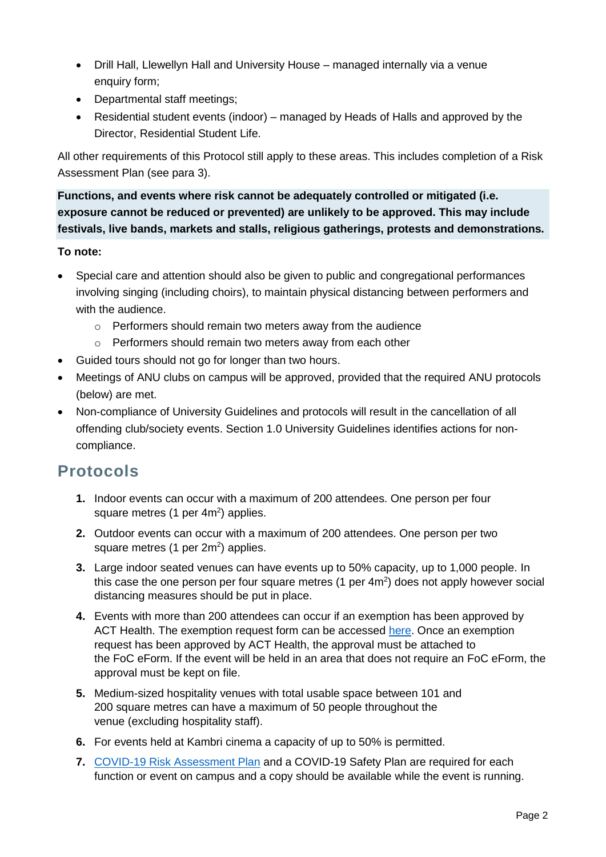- Drill Hall, Llewellyn Hall and University House managed internally via a venue enquiry form;
- Departmental staff meetings;
- Residential student events (indoor) managed by Heads of Halls and approved by the Director, Residential Student Life.

All other requirements of this Protocol still apply to these areas. This includes completion of a Risk Assessment Plan (see para 3).

**Functions, and events where risk cannot be adequately controlled or mitigated (i.e. exposure cannot be reduced or prevented) are unlikely to be approved. This may include festivals, live bands, markets and stalls, religious gatherings, protests and demonstrations.**

#### **To note:**

- Special care and attention should also be given to public and congregational performances involving singing (including choirs), to maintain physical distancing between performers and with the audience.
	- o Performers should remain two meters away from the audience
	- o Performers should remain two meters away from each other
- Guided tours should not go for longer than two hours.
- Meetings of ANU clubs on campus will be approved, provided that the required ANU protocols (below) are met.
- Non-compliance of University Guidelines and protocols will result in the cancellation of all offending club/society events. Section 1.0 University Guidelines identifies actions for noncompliance.

### **Protocols**

- **1.** Indoor events can occur with a maximum of 200 attendees. One person per four square metres (1 per  $4m<sup>2</sup>$ ) applies.
- **2.** Outdoor events can occur with a maximum of 200 attendees. One person per two square metres (1 per  $2m^2$ ) applies.
- **3.** Large indoor seated venues can have events up to 50% capacity, up to 1,000 people. In this case the one person per four square metres  $(1 \text{ per } 4\text{m}^2)$  does not apply however social distancing measures should be put in place.
- **4.** Events with more than 200 attendees can occur if an exemption has been approved by ACT Health. The exemption request form can be accessed [here.](https://form.act.gov.au/smartforms/servlet/SmartForm.html?formCode=1569) Once an exemption request has been approved by ACT Health, the approval must be attached to the FoC eForm. If the event will be held in an area that does not require an FoC eForm, the approval must be kept on file.
- **5.** Medium-sized hospitality venues with total usable space between 101 and 200 square metres can have a maximum of 50 people throughout the venue (excluding hospitality staff).
- **6.** For events held at Kambri cinema a capacity of up to 50% is permitted.
- **7.** [COVID-19 Risk Assessment Plan](http://imagedepot.anu.edu.au/whs/3.1%20Hazard%20Management/3.1%20Appendix%20B.4%20WHS%20Hazard%20and%20Risk%20Assessment%20for%20COVID-19%20Exposure%20Template_Functions%20on%20Campus.docx) and a COVID-19 Safety Plan are required for each function or event on campus and a copy should be available while the event is running.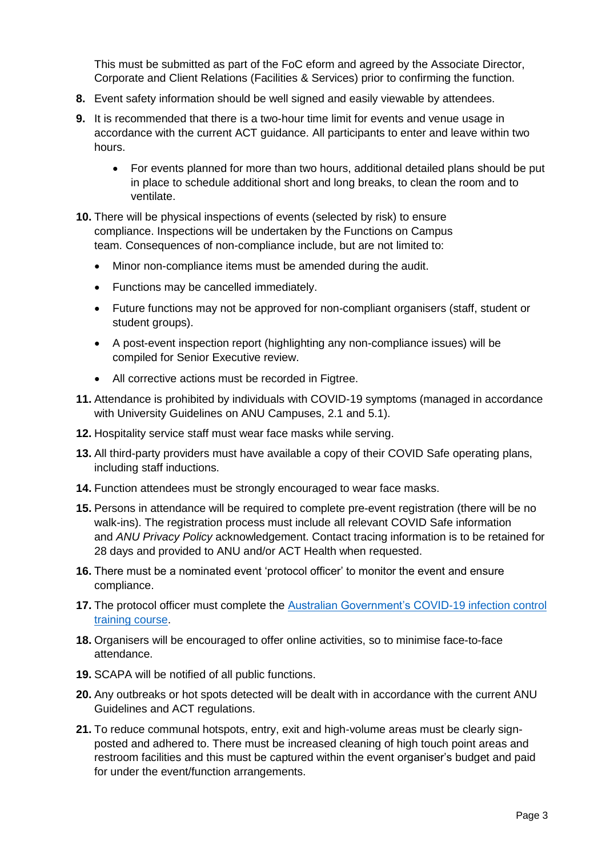This must be submitted as part of the FoC eform and agreed by the Associate Director, Corporate and Client Relations (Facilities & Services) prior to confirming the function.

- **8.** Event safety information should be well signed and easily viewable by attendees.
- **9.** It is recommended that there is a two-hour time limit for events and venue usage in accordance with the current ACT guidance. All participants to enter and leave within two hours.
	- For events planned for more than two hours, additional detailed plans should be put in place to schedule additional short and long breaks, to clean the room and to ventilate.
- **10.** There will be physical inspections of events (selected by risk) to ensure compliance. Inspections will be undertaken by the Functions on Campus team. Consequences of non-compliance include, but are not limited to:
	- Minor non-compliance items must be amended during the audit.
	- Functions may be cancelled immediately.
	- Future functions may not be approved for non-compliant organisers (staff, student or student groups).
	- A post-event inspection report (highlighting any non-compliance issues) will be compiled for Senior Executive review.
	- All corrective actions must be recorded in Figtree.
- **11.** Attendance is prohibited by individuals with COVID-19 symptoms (managed in accordance with University Guidelines on ANU Campuses, 2.1 and 5.1).
- **12.** Hospitality service staff must wear face masks while serving.
- **13.** All third-party providers must have available a copy of their COVID Safe operating plans, including staff inductions.
- **14.** Function attendees must be strongly encouraged to wear face masks.
- **15.** Persons in attendance will be required to complete pre-event registration (there will be no walk-ins). The registration process must include all relevant COVID Safe information and *ANU Privacy Policy* acknowledgement. Contact tracing information is to be retained for 28 days and provided to ANU and/or ACT Health when requested.
- **16.** There must be a nominated event 'protocol officer' to monitor the event and ensure compliance.
- **17.** The protocol officer must complete the [Australian Government's COVID-19 infection control](https://www.health.gov.au/resources/apps-and-tools/covid-19-infection-control-training)  [training course.](https://www.health.gov.au/resources/apps-and-tools/covid-19-infection-control-training)
- **18.** Organisers will be encouraged to offer online activities, so to minimise face-to-face attendance.
- **19.** SCAPA will be notified of all public functions.
- **20.** Any outbreaks or hot spots detected will be dealt with in accordance with the current ANU Guidelines and ACT regulations.
- **21.** To reduce communal hotspots, entry, exit and high-volume areas must be clearly signposted and adhered to. There must be increased cleaning of high touch point areas and restroom facilities and this must be captured within the event organiser's budget and paid for under the event/function arrangements.